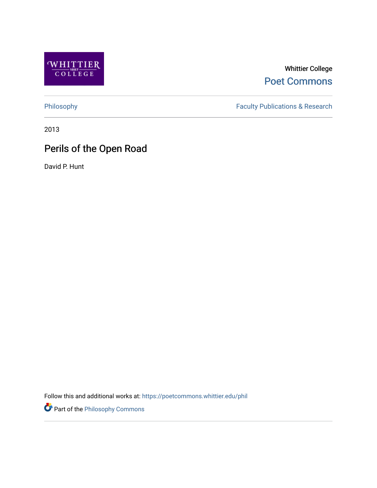

Whittier College [Poet Commons](https://poetcommons.whittier.edu/) 

[Philosophy](https://poetcommons.whittier.edu/phil) Faculty Publications & Research

2013

# Perils of the Open Road

David P. Hunt

Follow this and additional works at: [https://poetcommons.whittier.edu/phil](https://poetcommons.whittier.edu/phil?utm_source=poetcommons.whittier.edu%2Fphil%2F7&utm_medium=PDF&utm_campaign=PDFCoverPages)

Part of the [Philosophy Commons](http://network.bepress.com/hgg/discipline/525?utm_source=poetcommons.whittier.edu%2Fphil%2F7&utm_medium=PDF&utm_campaign=PDFCoverPages)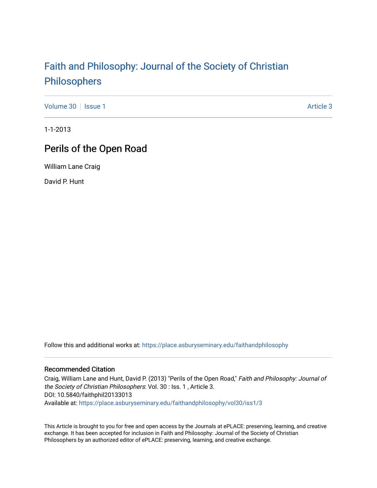# [Faith and Philosophy: Journal of the Society of Christian](https://place.asburyseminary.edu/faithandphilosophy)  [Philosophers](https://place.asburyseminary.edu/faithandphilosophy)

[Volume 30](https://place.asburyseminary.edu/faithandphilosophy/vol30) | [Issue 1](https://place.asburyseminary.edu/faithandphilosophy/vol30/iss1) Article 3

1-1-2013

## Perils of the Open Road

William Lane Craig

David P. Hunt

Follow this and additional works at: [https://place.asburyseminary.edu/faithandphilosophy](https://place.asburyseminary.edu/faithandphilosophy?utm_source=place.asburyseminary.edu%2Ffaithandphilosophy%2Fvol30%2Fiss1%2F3&utm_medium=PDF&utm_campaign=PDFCoverPages)

### Recommended Citation

Craig, William Lane and Hunt, David P. (2013) "Perils of the Open Road," Faith and Philosophy: Journal of the Society of Christian Philosophers: Vol. 30 : Iss. 1 , Article 3. DOI: 10.5840/faithphil20133013 Available at: [https://place.asburyseminary.edu/faithandphilosophy/vol30/iss1/3](https://place.asburyseminary.edu/faithandphilosophy/vol30/iss1/3?utm_source=place.asburyseminary.edu%2Ffaithandphilosophy%2Fvol30%2Fiss1%2F3&utm_medium=PDF&utm_campaign=PDFCoverPages)

This Article is brought to you for free and open access by the Journals at ePLACE: preserving, learning, and creative exchange. It has been accepted for inclusion in Faith and Philosophy: Journal of the Society of Christian Philosophers by an authorized editor of ePLACE: preserving, learning, and creative exchange.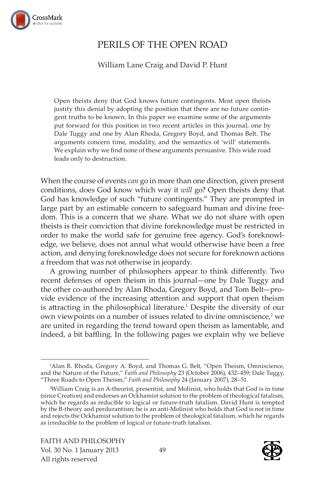

### PERILS OF THE OPEN ROAD

William Lane Craig and David P. Hunt

Open theists deny that God knows future contingents. Most open theists justify this denial by adopting the position that there are no future contingent truths to be known. In this paper we examine some of the arguments put forward for this position in two recent articles in this journal, one by Dale Tuggy and one by Alan Rhoda, Gregory Boyd, and Thomas Belt. The arguments concern time, modality, and the semantics of 'will' statements. We explain why we find none of these arguments persuasive. This wide road leads only to destruction.

When the course of events *can* go in more than one direction, given present conditions, does God know which way it *will* go? Open theists deny that God has knowledge of such "future contingents." They are prompted in large part by an estimable concern to safeguard human and divine freedom. This is a concern that we share. What we do not share with open theists is their conviction that divine foreknowledge must be restricted in order to make the world safe for genuine free agency. God's foreknowledge, we believe, does not annul what would otherwise have been a free action, and denying foreknowledge does not secure for foreknown actions a freedom that was not otherwise in jeopardy.

A growing number of philosophers appear to think differently. Two recent defenses of open theism in this journal—one by Dale Tuggy and the other co-authored by Alan Rhoda, Gregory Boyd, and Tom Belt—provide evidence of the increasing attention and support that open theism is attracting in the philosophical literature.<sup>1</sup> Despite the diversity of our own viewpoints on a number of issues related to divine omniscience, $2$  we are united in regarding the trend toward open theism as lamentable, and indeed, a bit baffling. In the following pages we explain why we believe



<sup>1</sup> Alan R. Rhoda, Gregory A. Boyd, and Thomas G. Belt, "Open Theism, Omniscience, and the Nature of the Future," *Faith and Philosophy* 23 (October 2006), 432–459; Dale Tuggy, "Three Roads to Open Theism," *Faith and Philosophy* 24 (January 2007), 28–51.

<sup>2</sup> William Craig is an A-theorist, presentist, and Molinist, who holds that God is in time (since Creation) and endorses an Ockhamist solution to the problem of theological fatalism, which he regards as reducible to logical or future-truth fatalism. David Hunt is tempted by the B-theory and perdurantism; he is an anti-Molinist who holds that God is not in time and rejects the Ockhamist solution to the problem of theological fatalism, which he regards as irreducible to the problem of logical or future-truth fatalism.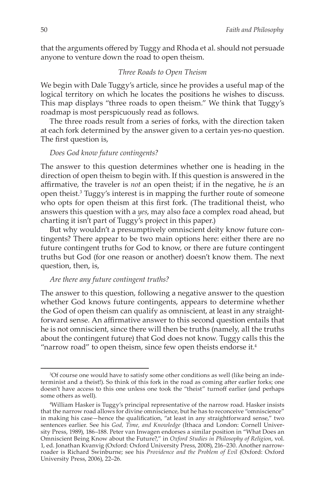that the arguments offered by Tuggy and Rhoda et al. should not persuade anyone to venture down the road to open theism.

#### *Three Roads to Open Theism*

We begin with Dale Tuggy's article, since he provides a useful map of the logical territory on which he locates the positions he wishes to discuss. This map displays "three roads to open theism." We think that Tuggy's roadmap is most perspicuously read as follows.

The three roads result from a series of forks, with the direction taken at each fork determined by the answer given to a certain yes-no question. The first question is,

#### *Does God know future contingents?*

The answer to this question determines whether one is heading in the direction of open theism to begin with. If this question is answered in the affirmative, the traveler is *not* an open theist; if in the negative, he *is* an open theist.<sup>3</sup> Tuggy's interest is in mapping the further route of someone who opts for open theism at this first fork. (The traditional theist, who answers this question with a *yes*, may also face a complex road ahead, but charting it isn't part of Tuggy's project in this paper.)

But why wouldn't a presumptively omniscient deity know future contingents? There appear to be two main options here: either there are no future contingent truths for God to know, or there are future contingent truths but God (for one reason or another) doesn't know them. The next question, then, is,

#### *Are there any future contingent truths?*

The answer to this question, following a negative answer to the question whether God knows future contingents, appears to determine whether the God of open theism can qualify as omniscient, at least in any straightforward sense. An affirmative answer to this second question entails that he is not omniscient, since there will then be truths (namely, all the truths about the contingent future) that God does not know. Tuggy calls this the "narrow road" to open theism, since few open theists endorse it.<sup>4</sup>

<sup>3</sup> Of course one would have to satisfy some other conditions as well (like being an indeterminist and a theist!). So think of this fork in the road as coming after earlier forks; one doesn't have access to this one unless one took the "theist" turnoff earlier (and perhaps some others as well).

<sup>4</sup> William Hasker is Tuggy's principal representative of the narrow road. Hasker insists that the narrow road allows for divine omniscience, but he has to reconceive "omniscience" in making his case—hence the qualification, "at least in any straightforward sense," two sentences earlier. See his *God, Time, and Knowledge* (Ithaca and London: Cornell University Press, 1989), 186–188. Peter van Inwagen endorses a similar position in "What Does an Omniscient Being Know about the Future?," in *Oxford Studies in Philosophy of Religion*, vol. 1, ed. Jonathan Kvanvig (Oxford: Oxford University Press, 2008), 216–230. Another narrowroader is Richard Swinburne; see his *Providence and the Problem of Evil* (Oxford: Oxford University Press, 2006), 22–26.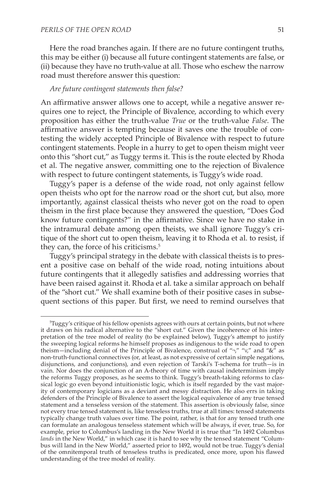Here the road branches again. If there are no future contingent truths, this may be either (i) because all future contingent statements are false, or (ii) because they have no truth-value at all. Those who eschew the narrow road must therefore answer this question:

#### *Are future contingent statements then false?*

An affirmative answer allows one to accept, while a negative answer requires one to reject, the Principle of Bivalence, according to which every proposition has either the truth-value *True* or the truth-value *False*. The affirmative answer is tempting because it saves one the trouble of contesting the widely accepted Principle of Bivalence with respect to future contingent statements. People in a hurry to get to open theism might veer onto this "short cut," as Tuggy terms it. This is the route elected by Rhoda et al. The negative answer, committing one to the rejection of Bivalence with respect to future contingent statements, is Tuggy's wide road.

Tuggy's paper is a defense of the wide road, not only against fellow open theists who opt for the narrow road or the short cut, but also, more importantly, against classical theists who never got on the road to open theism in the first place because they answered the question, "Does God know future contingents?" in the affirmative. Since we have no stake in the intramural debate among open theists, we shall ignore Tuggy's critique of the short cut to open theism, leaving it to Rhoda et al. to resist, if they can, the force of his criticisms.<sup>5</sup>

Tuggy's principal strategy in the debate with classical theists is to present a positive case on behalf of the wide road, noting intuitions about future contingents that it allegedly satisfies and addressing worries that have been raised against it. Rhoda et al. take a similar approach on behalf of the "short cut." We shall examine both of their positive cases in subsequent sections of this paper. But first, we need to remind ourselves that

<sup>5</sup> Tuggy's critique of his fellow openists agrees with ours at certain points, but not where it draws on his radical alternative to the "short cut." Given the incoherence of his interpretation of the tree model of reality (to be explained below), Tuggy's attempt to justify the sweeping logical reforms he himself proposes as indigenous to the wide road to open theism—including denial of the Principle of Bivalence, construal of "¬," "∨," and "&" as non-truth-functional connectives (or, at least, as not expressive of certain simple negations, disjunctions, and conjunctions), and even rejection of Tarski's T-schema for truth—is in vain. Nor does the conjunction of an A-theory of time with causal indeterminism imply the reforms Tuggy proposes, as he seems to think. Tuggy's breath-taking reforms to classical logic go even beyond intuitionistic logic, which is itself regarded by the vast majority of contemporary logicians as a deviant and messy distraction. He also errs in taking defenders of the Principle of Bivalence to assert the logical equivalence of any true tensed statement and a tenseless version of the statement. This assertion is obviously false, since not every true tensed statement is, like tenseless truths, true at all times: tensed statements typically change truth values over time. The point, rather, is that for any tensed truth one can formulate an analogous tenseless statement which will be always, if ever, true. So, for example, prior to Columbus's landing in the New World it is true that "In 1492 Columbus *lands* in the New World," in which case it is hard to see why the tensed statement "Columbus will land in the New World," asserted prior to 1492, would not be true. Tuggy's denial of the omnitemporal truth of tenseless truths is predicated, once more, upon his flawed understanding of the tree model of reality.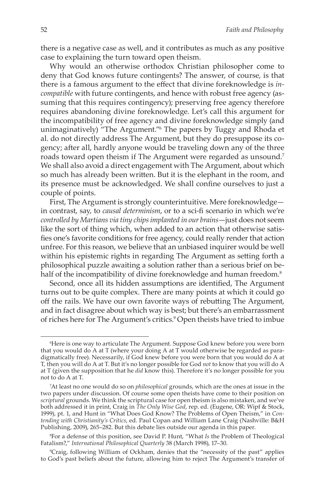there is a negative case as well, and it contributes as much as any positive case to explaining the turn toward open theism.

Why would an otherwise orthodox Christian philosopher come to deny that God knows future contingents? The answer, of course, is that there is a famous argument to the effect that divine foreknowledge is *incompatible* with future contingents, and hence with robust free agency (assuming that this requires contingency); preserving free agency therefore requires abandoning divine foreknowledge. Let's call this argument for the incompatibility of free agency and divine foreknowledge simply (and unimaginatively) "The Argument."<sup>6</sup> The papers by Tuggy and Rhoda et al. do not directly address The Argument, but they do presuppose its cogency; after all, hardly anyone would be traveling down any of the three roads toward open theism if The Argument were regarded as unsound.<sup>7</sup> We shall also avoid a direct engagement with The Argument, about which so much has already been written. But it is the elephant in the room, and its presence must be acknowledged. We shall confine ourselves to just a couple of points.

First, The Argument is strongly counterintuitive. Mere foreknowledge in contrast, say, to *causal determinism*, or to a sci-fi scenario in which we're *controlled by Martians via tiny chips implanted in our brains*—just does not seem like the sort of thing which, when added to an action that otherwise satisfies one's favorite conditions for free agency, could really render that action unfree. For this reason, we believe that an unbiased inquirer would be well within his epistemic rights in regarding The Argument as setting forth a philosophical puzzle awaiting a solution rather than a serious brief on behalf of the incompatibility of divine foreknowledge and human freedom.<sup>8</sup>

Second, once all its hidden assumptions are identified, The Argument turns out to be quite complex. There are many points at which it could go off the rails. We have our own favorite ways of rebutting The Argument, and in fact disagree about which way is best; but there's an embarrassment of riches here for The Argument's critics.<sup>9</sup> Open theists have tried to imbue

<sup>6</sup> Here is one way to articulate The Argument. Suppose God knew before you were born that you would do A at T (where your doing A at T would otherwise be regarded as paradigmatically free). Necessarily, if God knew before you were born that you would do A at T, then you will do A at T. But it's no longer possible for God *not* to know that you will do A at T (given the supposition that he *did* know this). Therefore it's no longer possible for you not to do A at T.

<sup>7</sup> At least no one would do so on *philosophical* grounds, which are the ones at issue in the two papers under discussion. Of course some open theists have come to their position on *scriptural* grounds. We think the scriptural case for open theism is also mistaken, and we've both addressed it in print, Craig in *The Only Wise God*, rep. ed. (Eugene, OR: Wipf & Stock, 1999), pt. 1, and Hunt in "What Does God Know? The Problems of Open Theism," in *Contending with Christianity's Critics*, ed. Paul Copan and William Lane Craig (Nashville: B&H Publishing, 2009), 265–282. But this debate lies outside our agenda in this paper.

<sup>8</sup> For a defense of this position, see David P. Hunt, "What *Is* the Problem of Theological Fatalism?," *International Philosophical Quarterly* 38 (March 1998), 17–30.

<sup>9</sup> Craig, following William of Ockham, denies that the "necessity of the past" applies to God's past beliefs about the future, allowing him to reject The Argument's transfer of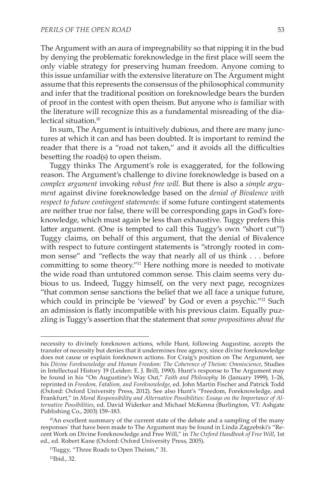The Argument with an aura of impregnability so that nipping it in the bud by denying the problematic foreknowledge in the first place will seem the only viable strategy for preserving human freedom. Anyone coming to this issue unfamiliar with the extensive literature on The Argument might assume that this represents the consensus of the philosophical community and infer that the traditional position on foreknowledge bears the burden of proof in the contest with open theism. But anyone who *is* familiar with the literature will recognize this as a fundamental misreading of the dialectical situation.10

In sum, The Argument is intuitively dubious, and there are many junctures at which it can and has been doubted. It is important to remind the reader that there is a "road not taken," and it avoids all the difficulties besetting the road(s) to open theism.

Tuggy thinks The Argument's role is exaggerated, for the following reason. The Argument's challenge to divine foreknowledge is based on a *complex argument* invoking *robust free will*. But there is also a *simple argument* against divine foreknowledge based on the *denial of Bivalence with respect to future contingent statements*: if some future contingent statements are neither true nor false, there will be corresponding gaps in God's foreknowledge, which must again be less than exhaustive. Tuggy prefers this latter argument. (One is tempted to call this Tuggy's own "short cut"!) Tuggy claims, on behalf of this argument, that the denial of Bivalence with respect to future contingent statements is "strongly rooted in common sense" and "reflects the way that nearly all of us think . . . before committing to some theory."11 Here nothing more is needed to motivate the wide road than untutored common sense. This claim seems very dubious to us. Indeed, Tuggy himself, on the very next page, recognizes "that common sense sanctions the belief that we all face a unique future, which could in principle be 'viewed' by God or even a psychic."12 Such an admission is flatly incompatible with his previous claim. Equally puzzling is Tuggy's assertion that the statement that *some propositions about the* 

necessity to divinely foreknown actions, while Hunt, following Augustine, accepts the transfer of necessity but denies that it undermines free agency, since divine foreknowledge does not cause or explain foreknown actions. For Craig's position on The Argument, see his *Divine Foreknowledge and Human Freedom: The Coherence of Theism: Omniscience*, Studies in Intellectual History 19 (Leiden: E. J. Brill, 1990). Hunt's response to The Argument may be found in his "On Augustine's Way Out," *Faith and Philosophy* 16 (January 1999), 1–26, reprinted in *Freedom, Fatalism, and Foreknowledge*, ed. John Martin Fischer and Patrick Todd (Oxford: Oxford University Press, 2012). See also Hunt's "Freedom, Foreknowledge, and Frankfurt," in *Moral Responsibility and Alternative Possibilities: Essays on the Importance of Alternative Possibilities*, ed. David Widerker and Michael McKenna (Burlington, VT: Ashgate Publishing Co., 2003) 159–183.

 $10$ An excellent summary of the current state of the debate and a sampling of the many responses` that have been made to The Argument may be found in Linda Zagzebski's "Recent Work on Divine Foreknowledge and Free Will," in *The Oxford Handbook of Free Will*, 1st ed., ed. Robert Kane (Oxford: Oxford University Press, 2005).

<sup>&</sup>lt;sup>11</sup>Tuggy, "Three Roads to Open Theism," 31. 12Ibid., 32.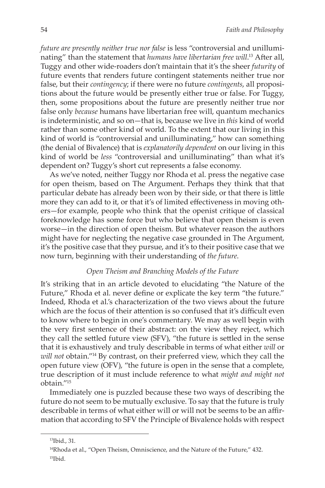*future are presently neither true nor false* is less "controversial and unilluminating" than the statement that *humans have libertarian free will*. <sup>13</sup> After all, Tuggy and other wide-roaders don't maintain that it's the sheer *futurity* of future events that renders future contingent statements neither true nor false, but their *contingency*; if there were no future *contingents*, all propositions about the future would be presently either true or false. For Tuggy, then, some propositions about the future are presently neither true nor false only *because* humans have libertarian free will, quantum mechanics is indeterministic, and so on—that is, because we live in *this* kind of world rather than some other kind of world. To the extent that our living in this kind of world is "controversial and unilluminating," how can something (the denial of Bivalence) that is *explanatorily dependent* on our living in this kind of world be *less* "controversial and unilluminating" than what it's dependent on? Tuggy's short cut represents a false economy.

As we've noted, neither Tuggy nor Rhoda et al. press the negative case for open theism, based on The Argument. Perhaps they think that that particular debate has already been won by their side, or that there is little more they can add to it, or that it's of limited effectiveness in moving others—for example, people who think that the openist critique of classical foreknowledge has some force but who believe that open theism is even worse—in the direction of open theism. But whatever reason the authors might have for neglecting the negative case grounded in The Argument, it's the positive case that they pursue, and it's to their positive case that we now turn, beginning with their understanding of *the future*.

#### *Open Theism and Branching Models of the Future*

It's striking that in an article devoted to elucidating "the Nature of the Future," Rhoda et al. never define or explicate the key term "the future." Indeed, Rhoda et al.'s characterization of the two views about the future which are the focus of their attention is so confused that it's difficult even to know where to begin in one's commentary. We may as well begin with the very first sentence of their abstract: on the view they reject, which they call the settled future view (SFV), "the future is settled in the sense that it is exhaustively and truly describable in terms of what either *will* or *will not* obtain."14 By contrast, on their preferred view, which they call the open future view (OFV), "the future is open in the sense that a complete, true description of it must include reference to what *might and might not* obtain."15

Immediately one is puzzled because these two ways of describing the future do not seem to be mutually exclusive. To say that the future is truly describable in terms of what either will or will not be seems to be an affirmation that according to SFV the Principle of Bivalence holds with respect

<sup>13</sup>Ibid., 31.

<sup>&</sup>lt;sup>14</sup>Rhoda et al., "Open Theism, Omniscience, and the Nature of the Future," 432. 15Ibid.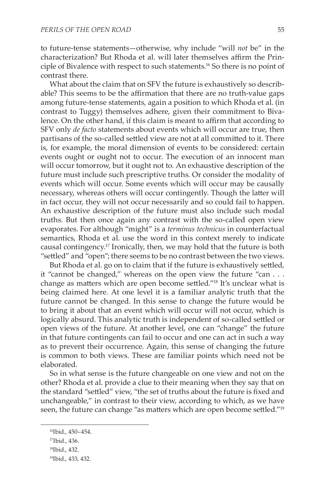to future-tense statements—otherwise, why include "will *not* be" in the characterization? But Rhoda et al. will later themselves affirm the Principle of Bivalence with respect to such statements.16 So there is no point of contrast there.

What about the claim that on SFV the future is exhaustively so describable? This seems to be the affirmation that there are no truth-value gaps among future-tense statements, again a position to which Rhoda et al. (in contrast to Tuggy) themselves adhere, given their commitment to Bivalence. On the other hand, if this claim is meant to affirm that according to SFV only *de facto* statements about events which will occur are true, then partisans of the so-called settled view are not at all committed to it. There is, for example, the moral dimension of events to be considered: certain events ought or ought not to occur. The execution of an innocent man will occur tomorrow, but it ought not to. An exhaustive description of the future must include such prescriptive truths. Or consider the modality of events which will occur. Some events which will occur may be causally necessary, whereas others will occur contingently. Though the latter will in fact occur, they will not occur necessarily and so could fail to happen. An exhaustive description of the future must also include such modal truths. But then once again any contrast with the so-called open view evaporates. For although "might" is a *terminus technicus* in counterfactual semantics, Rhoda et al. use the word in this context merely to indicate causal contingency.17 Ironically, then, we may hold that the future is both "settled" and "open"; there seems to be no contrast between the two views.

But Rhoda et al. go on to claim that if the future is exhaustively settled, it "cannot be changed," whereas on the open view the future "can . . . change as matters which are open become settled."18 It's unclear what is being claimed here. At one level it is a familiar analytic truth that the future cannot be changed. In this sense to change the future would be to bring it about that an event which will occur will not occur, which is logically absurd. This analytic truth is independent of so-called settled or open views of the future. At another level, one can "change" the future in that future contingents can fail to occur and one can act in such a way as to prevent their occurrence. Again, this sense of changing the future is common to both views. These are familiar points which need not be elaborated.

So in what sense is the future changeable on one view and not on the other? Rhoda et al. provide a clue to their meaning when they say that on the standard "settled" view, "the set of truths about the future is fixed and unchangeable," in contrast to their view, according to which, as we have seen, the future can change "as matters which are open become settled."<sup>19</sup>

<sup>16</sup>Ibid., 450–454.

<sup>17</sup>Ibid., 436.

<sup>18</sup>Ibid., 432.

<sup>19</sup>Ibid., 433, 432.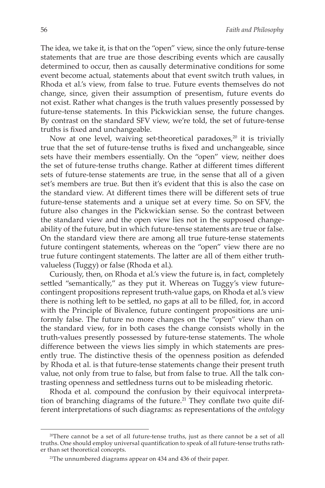The idea, we take it, is that on the "open" view, since the only future-tense statements that are true are those describing events which are causally determined to occur, then as causally determinative conditions for some event become actual, statements about that event switch truth values, in Rhoda et al.'s view, from false to true. Future events themselves do not change, since, given their assumption of presentism, future events do not exist. Rather what changes is the truth values presently possessed by future-tense statements. In this Pickwickian sense, the future changes. By contrast on the standard SFV view, we're told, the set of future-tense truths is fixed and unchangeable.

Now at one level, waiving set-theoretical paradoxes,<sup>20</sup> it is trivially true that the set of future-tense truths is fixed and unchangeable, since sets have their members essentially. On the "open" view, neither does the set of future-tense truths change. Rather at different times different sets of future-tense statements are true, in the sense that all of a given set's members are true. But then it's evident that this is also the case on the standard view. At different times there will be different sets of true future-tense statements and a unique set at every time. So on SFV, the future also changes in the Pickwickian sense. So the contrast between the standard view and the open view lies not in the supposed changeability of the future, but in which future-tense statements are true or false. On the standard view there are among all true future-tense statements future contingent statements, whereas on the "open" view there are no true future contingent statements. The latter are all of them either truthvalueless (Tuggy) or false (Rhoda et al.).

Curiously, then, on Rhoda et al.'s view the future is, in fact, completely settled "semantically," as they put it. Whereas on Tuggy's view futurecontingent propositions represent truth-value gaps, on Rhoda et al.'s view there is nothing left to be settled, no gaps at all to be filled, for, in accord with the Principle of Bivalence, future contingent propositions are uniformly false. The future no more changes on the "open" view than on the standard view, for in both cases the change consists wholly in the truth-values presently possessed by future-tense statements. The whole difference between the views lies simply in which statements are presently true. The distinctive thesis of the openness position as defended by Rhoda et al. is that future-tense statements change their present truth value, not only from true to false, but from false to true. All the talk contrasting openness and settledness turns out to be misleading rhetoric.

Rhoda et al. compound the confusion by their equivocal interpretation of branching diagrams of the future.<sup>21</sup> They conflate two quite different interpretations of such diagrams: as representations of the *ontology*

<sup>&</sup>lt;sup>20</sup>There cannot be a set of all future-tense truths, just as there cannot be a set of all truths. One should employ universal quantification to speak of all future-tense truths rather than set theoretical concepts.

<sup>&</sup>lt;sup>21</sup>The unnumbered diagrams appear on 434 and 436 of their paper.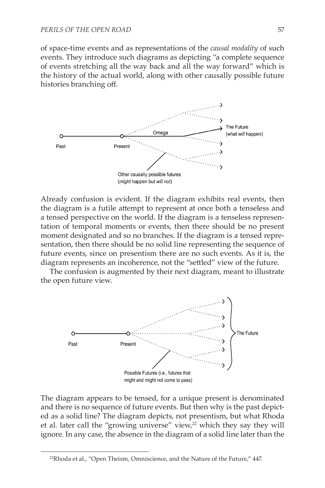of space-time events and as representations of the *causal modality* of such events. They introduce such diagrams as depicting "a complete sequence of events stretching all the way back and all the way forward" which is the history of the actual world, along with other causally possible future histories branching off.



Already confusion is evident. If the diagram exhibits real events, then the diagram is a futile attempt to represent at once both a tenseless and a tensed perspective on the world. If the diagram is a tenseless representation of temporal moments or events, then there should be no present moment designated and so no branches. If the diagram is a tensed representation, then there should be no solid line representing the sequence of future events, since on presentism there are no such events. As it is, the diagram represents an incoherence, not the "settled" view of the future.

The confusion is augmented by their next diagram, meant to illustrate the open future view.



The diagram appears to be tensed, for a unique present is denominated and there is no sequence of future events. But then why is the past depicted as a solid line? The diagram depicts, not presentism, but what Rhoda et al. later call the "growing universe" view,<sup>22</sup> which they say they will ignore. In any case, the absence in the diagram of a solid line later than the

<sup>&</sup>lt;sup>22</sup>Rhoda et al., "Open Theism, Omniscience, and the Nature of the Future," 447.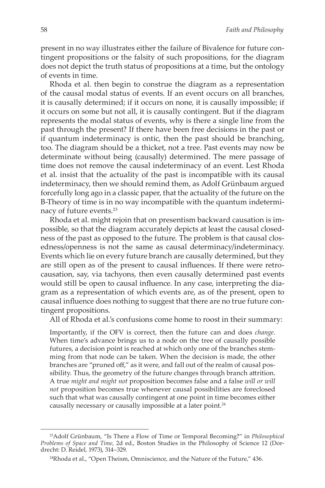present in no way illustrates either the failure of Bivalence for future contingent propositions or the falsity of such propositions, for the diagram does not depict the truth status of propositions at a time, but the ontology of events in time.

Rhoda et al. then begin to construe the diagram as a representation of the causal modal status of events. If an event occurs on all branches, it is causally determined; if it occurs on none, it is causally impossible; if it occurs on some but not all, it is causally contingent. But if the diagram represents the modal status of events, why is there a single line from the past through the present? If there have been free decisions in the past or if quantum indeterminacy is ontic, then the past should be branching, too. The diagram should be a thicket, not a tree. Past events may now be determinate without being (causally) determined. The mere passage of time does not remove the causal indeterminacy of an event. Lest Rhoda et al. insist that the actuality of the past is incompatible with its causal indeterminacy, then we should remind them, as Adolf Grünbaum argued forcefully long ago in a classic paper, that the actuality of the future on the B-Theory of time is in no way incompatible with the quantum indeterminacy of future events.23

Rhoda et al. might rejoin that on presentism backward causation is impossible, so that the diagram accurately depicts at least the causal closedness of the past as opposed to the future. The problem is that causal closedness/openness is not the same as causal determinacy/indeterminacy. Events which lie on every future branch are causally determined, but they are still open as of the present to causal influences. If there were retrocausation, say, via tachyons, then even causally determined past events would still be open to causal influence. In any case, interpreting the diagram as a representation of which events are, as of the present, open to causal influence does nothing to suggest that there are no true future contingent propositions.

All of Rhoda et al.'s confusions come home to roost in their summary:

Importantly, if the OFV is correct, then the future can and does *change*. When time's advance brings us to a node on the tree of causally possible futures, a decision point is reached at which only one of the branches stemming from that node can be taken. When the decision is made, the other branches are "pruned off," as it were, and fall out of the realm of causal possibility. Thus, the geometry of the future changes through branch attrition. A true *might and might not* proposition becomes false and a false *will or will not* proposition becomes true whenever causal possibilities are foreclosed such that what was causally contingent at one point in time becomes either causally necessary or causally impossible at a later point.<sup>24</sup>

<sup>23</sup>Adolf Grünbaum, "Is There a Flow of Time or Temporal Becoming?" in *Philosophical Problems of Space and Time*, 2d ed., Boston Studies in the Philosophy of Science 12 (Dordrecht: D. Reidel, 1973), 314–329.

<sup>24</sup>Rhoda et al., "Open Theism, Omniscience, and the Nature of the Future," 436.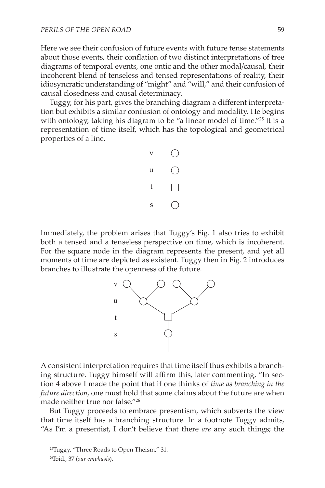Here we see their confusion of future events with future tense statements about those events, their conflation of two distinct interpretations of tree diagrams of temporal events, one ontic and the other modal/causal, their incoherent blend of tenseless and tensed representations of reality, their idiosyncratic understanding of "might" and "will," and their confusion of causal closedness and causal determinacy.

Tuggy, for his part, gives the branching diagram a different interpretation but exhibits a similar confusion of ontology and modality. He begins with ontology, taking his diagram to be "a linear model of time."<sup>25</sup> It is a representation of time itself, which has the topological and geometrical properties of a line.



Immediately, the problem arises that Tuggy's Fig. 1 also tries to exhibit both a tensed and a tenseless perspective on time, which is incoherent. For the square node in the diagram represents the present, and yet all moments of time are depicted as existent. Tuggy then in Fig. 2 introduces branches to illustrate the openness of the future.



A consistent interpretation requires that time itself thus exhibits a branching structure. Tuggy himself will affirm this, later commenting, "In section 4 above I made the point that if one thinks of *time as branching in the future direction*, one must hold that some claims about the future are when made neither true nor false."26

But Tuggy proceeds to embrace presentism, which subverts the view that time itself has a branching structure. In a footnote Tuggy admits, "As I'm a presentist, I don't believe that there *are* any such things; the

<sup>25</sup>Tuggy, "Three Roads to Open Theism," 31.

<sup>26</sup>Ibid., 37 (*our emphasis*).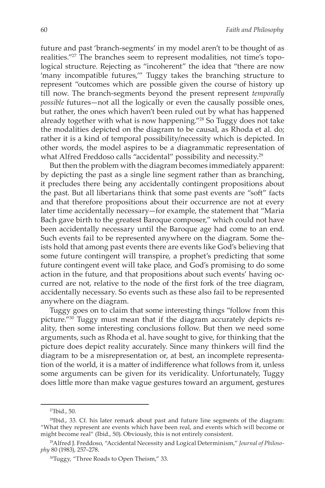future and past 'branch-segments' in my model aren't to be thought of as realities."27 The branches seem to represent modalities, not time's topological structure. Rejecting as "incoherent" the idea that "there are now 'many incompatible futures,'" Tuggy takes the branching structure to represent "outcomes which are possible given the course of history up till now. The branch-segments beyond the present represent *temporally possible* futures—not all the logically or even the causally possible ones, but rather, the ones which haven't been ruled out by what has happened already together with what is now happening."<sup>28</sup> So Tuggy does not take the modalities depicted on the diagram to be causal, as Rhoda et al. do; rather it is a kind of temporal possibility/necessity which is depicted. In other words, the model aspires to be a diagrammatic representation of what Alfred Freddoso calls "accidental" possibility and necessity.<sup>29</sup>

But then the problem with the diagram becomes immediately apparent: by depicting the past as a single line segment rather than as branching, it precludes there being any accidentally contingent propositions about the past. But all libertarians think that some past events are "soft" facts and that therefore propositions about their occurrence are not at every later time accidentally necessary—for example, the statement that "Maria Bach gave birth to the greatest Baroque composer," which could not have been accidentally necessary until the Baroque age had come to an end. Such events fail to be represented anywhere on the diagram. Some theists hold that among past events there are events like God's believing that some future contingent will transpire, a prophet's predicting that some future contingent event will take place, and God's promising to do some action in the future, and that propositions about such events' having occurred are not, relative to the node of the first fork of the tree diagram, accidentally necessary. So events such as these also fail to be represented anywhere on the diagram.

Tuggy goes on to claim that some interesting things "follow from this picture."30 Tuggy must mean that if the diagram accurately depicts reality, then some interesting conclusions follow. But then we need some arguments, such as Rhoda et al. have sought to give, for thinking that the picture does depict reality accurately. Since many thinkers will find the diagram to be a misrepresentation or, at best, an incomplete representation of the world, it is a matter of indifference what follows from it, unless some arguments can be given for its veridicality. Unfortunately, Tuggy does little more than make vague gestures toward an argument, gestures

<sup>27</sup>Ibid., 50.

<sup>28</sup>Ibid., 33. Cf. his later remark about past and future line segments of the diagram: "What they represent are events which have been real, and events which will become or might become real" (Ibid., 50). Obviously, this is not entirely consistent.

<sup>29</sup>Alfred J. Freddoso, "Accidental Necessity and Logical Determinism," *Journal of Philosophy* 80 (1983), 257–278.

<sup>&</sup>lt;sup>30</sup>Tuggy, "Three Roads to Open Theism," 33.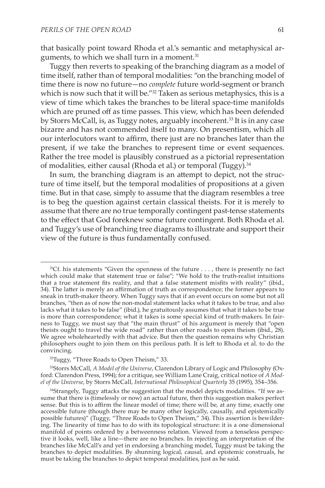that basically point toward Rhoda et al.'s semantic and metaphysical arguments, to which we shall turn in a moment.<sup>31</sup>

Tuggy then reverts to speaking of the branching diagram as a model of time itself, rather than of temporal modalities: "on the branching model of time there is now no future—no *complete* future world-segment or branch which is now such that it will be."<sup>32</sup> Taken as serious metaphysics, this is a view of time which takes the branches to be literal space-time manifolds which are pruned off as time passes. This view, which has been defended by Storrs McCall, is, as Tuggy notes, arguably incoherent.<sup>33</sup> It is in any case bizarre and has not commended itself to many. On presentism, which all our interlocutors want to affirm, there just are no branches later than the present, if we take the branches to represent time or event sequences. Rather the tree model is plausibly construed as a pictorial representation of modalities, either causal (Rhoda et al.) or temporal (Tuggy).<sup>34</sup>

In sum, the branching diagram is an attempt to depict, not the structure of time itself, but the temporal modalities of propositions at a given time. But in that case, simply to assume that the diagram resembles a tree is to beg the question against certain classical theists. For it is merely to assume that there are no true temporally contingent past-tense statements to the effect that God foreknew some future contingent. Both Rhoda et al. and Tuggy's use of branching tree diagrams to illustrate and support their view of the future is thus fundamentally confused.

33Storrs McCall, *A Model of the Universe*, Clarendon Library of Logic and Philosophy (Oxford: Clarendon Press, 1994); for a critique, see William Lane Craig, critical notice of *A Model of the Universe*, by Storrs McCall, *International Philosophical Quarterly* 35 (1995), 354–356.

<sup>&</sup>lt;sup>31</sup>Cf. his statements "Given the openness of the future . . . , there is presently no fact which could make that statement true or false"; "We hold to the truth-realist intuitions that a true statement fits reality, and that a false statement misfits with reality" (ibid., 34). The latter is merely an affirmation of truth as correspondence; the former appears to sneak in truth-maker theory. When Tuggy says that if an event occurs on some but not all branches, "then as of now the non-modal statement lacks what it takes to be true, and also lacks what it takes to be false" (ibid.), he gratuitously assumes that what it takes to be true is more than correspondence; what it takes is some special kind of truth-makers. In fairness to Tuggy, we must say that "the main thrust" of his argument is merely that "open theists ought to travel the wide road" rather than other roads to open theism (ibid., 28). We agree wholeheartedly with that advice. But then the question remains why Christian philosophers ought to join them on this perilous path. It is left to Rhoda et al. to do the convincing.

<sup>&</sup>lt;sup>32</sup>Tuggy, "Three Roads to Open Theism," 33.

<sup>&</sup>lt;sup>34</sup>Strangely, Tuggy attacks the suggestion that the model depicts modalities. "If we assume that there is (timelessly or now) an actual future, then this suggestion makes perfect sense. But this is to affirm the linear model of time; there will be, at any time, exactly one accessible future (though there may be many other logically, causally, and epistemically possible futures)" (Tuggy, "Three Roads to Open Theism," 34). This assertion is bewildering. The linearity of time has to do with its topological structure: it is a one dimensional manifold of points ordered by a betweenness relation. Viewed from a tenseless perspective it looks, well, like a line—there are no branches. In rejecting an interpretation of the branches like McCall's and yet in endorsing a branching model, Tuggy must be taking the branches to depict modalities. By shunning logical, causal, and epistemic construals, he must be taking the branches to depict temporal modalities, just as he said.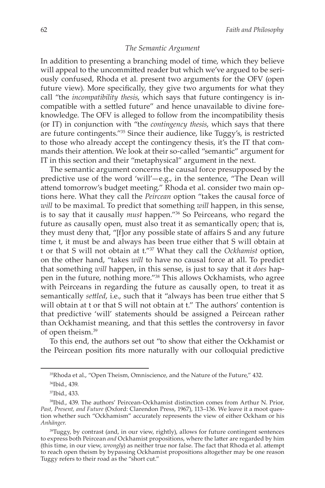#### *The Semantic Argument*

In addition to presenting a branching model of time, which they believe will appeal to the uncommitted reader but which we've argued to be seriously confused, Rhoda et al. present two arguments for the OFV (open future view). More specifically, they give two arguments for what they call "the *incompatibility thesis*, which says that future contingency is incompatible with a settled future" and hence unavailable to divine foreknowledge. The OFV is alleged to follow from the incompatibility thesis (or IT) in conjunction with "the *contingency thesis*, which says that there are future contingents."35 Since their audience, like Tuggy's, is restricted to those who already accept the contingency thesis, it's the IT that commands their attention. We look at their so-called "semantic" argument for IT in this section and their "metaphysical" argument in the next.

The semantic argument concerns the causal force presupposed by the predictive use of the word 'will'—e.g., in the sentence, "The Dean will attend tomorrow's budget meeting." Rhoda et al. consider two main options here. What they call the *Peircean* option "takes the causal force of *will* to be maximal. To predict that something *will* happen, in this sense, is to say that it causally *must* happen."36 So Peirceans, who regard the future as causally open, must also treat it as semantically open; that is, they must deny that, "[f]or any possible state of affairs S and any future time t, it must be and always has been true either that S will obtain at t or that S will not obtain at t."37 What they call the *Ockhamist* option, on the other hand, "takes *will* to have no causal force at all. To predict that something *will* happen, in this sense, is just to say that it *does* happen in the future, nothing more."38 This allows Ockhamists, who agree with Peirceans in regarding the future as causally open, to treat it as semantically *settled*, i.e., such that it "always has been true either that S will obtain at t or that S will not obtain at t." The authors' contention is that predictive 'will' statements should be assigned a Peircean rather than Ockhamist meaning, and that this settles the controversy in favor of open theism.39

To this end, the authors set out "to show that either the Ockhamist or the Peircean position fits more naturally with our colloquial predictive

<sup>35</sup>Rhoda et al., "Open Theism, Omniscience, and the Nature of the Future," 432.

<sup>36</sup>Ibid., 439.

<sup>37</sup>Ibid., 433.

<sup>38</sup>Ibid., 439. The authors' Peircean-Ockhamist distinction comes from Arthur N. Prior, *Past, Present, and Future* (Oxford: Clarendon Press, 1967), 113–136. We leave it a moot question whether such "Ockhamism" accurately represents the view of either Ockham or his *Anhänger*.

<sup>&</sup>lt;sup>39</sup>Tuggy, by contrast (and, in our view, rightly), allows for future contingent sentences to express both Peircean *and* Ockhamist propositions, where the latter are regarded by him (this time, in our view, *wrongly*) as neither true nor false. The fact that Rhoda et al. attempt to reach open theism by bypassing Ockhamist propositions altogether may be one reason Tuggy refers to their road as the "short cut."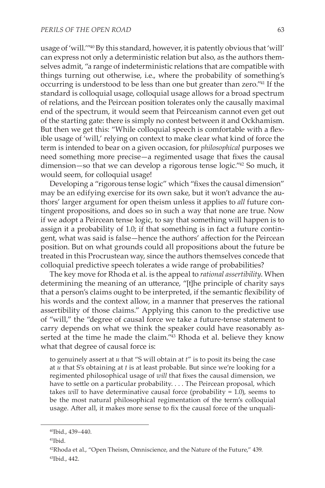usage of 'will.'"40 By this standard, however, it is patently obvious that 'will' can express not only a deterministic relation but also, as the authors themselves admit, "a range of indeterministic relations that are compatible with things turning out otherwise, i.e., where the probability of something's occurring is understood to be less than one but greater than zero."41 If the standard is colloquial usage, colloquial usage allows for a broad spectrum of relations, and the Peircean position tolerates only the causally maximal end of the spectrum, it would seem that Peirceanism cannot even get out of the starting gate: there is simply no contest between it and Ockhamism. But then we get this: "While colloquial speech is comfortable with a flexible usage of 'will,' relying on context to make clear what kind of force the term is intended to bear on a given occasion, for *philosophical* purposes we need something more precise—a regimented usage that fixes the causal dimension—so that we can develop a rigorous tense logic."42 So much, it would seem, for colloquial usage!

Developing a "rigorous tense logic" which "fixes the causal dimension" may be an edifying exercise for its own sake, but it won't advance the authors' larger argument for open theism unless it applies to *all* future contingent propositions, and does so in such a way that none are true. Now if we adopt a Peircean tense logic, to say that something will happen is to assign it a probability of 1.0; if that something is in fact a future contingent, what was said is false—hence the authors' affection for the Peircean position. But on what grounds could all propositions about the future be treated in this Procrustean way, since the authors themselves concede that colloquial predictive speech tolerates a wide range of probabilities?

The key move for Rhoda et al. is the appeal to *rational assertibility*. When determining the meaning of an utterance, "[t]he principle of charity says that a person's claims ought to be interpreted, if the semantic flexibility of his words and the context allow, in a manner that preserves the rational assertibility of those claims." Applying this canon to the predictive use of "will," the "degree of causal force we take a future-tense statement to carry depends on what we think the speaker could have reasonably asserted at the time he made the claim."43 Rhoda et al. believe they know what that degree of causal force is:

to genuinely assert at *u* that "S will obtain at *t*" is to posit its being the case at *u* that S's obtaining at *t* is at least probable. But since we're looking for a regimented philosophical usage of *will* that fixes the causal dimension, we have to settle on a particular probability. . . . The Peircean proposal, which takes *will* to have determinative causal force (probability = 1.0), seems to be the most natural philosophical regimentation of the term's colloquial usage. After all, it makes more sense to fix the causal force of the unquali-

<sup>40</sup>Ibid., 439–440.

<sup>41</sup>Ibid.

<sup>42</sup>Rhoda et al., "Open Theism, Omniscience, and the Nature of the Future," 439. 43Ibid., 442.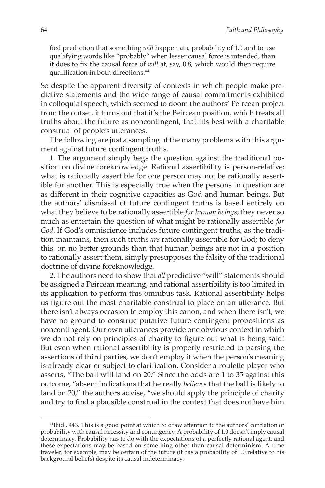fied prediction that something *will* happen at a probability of 1.0 and to use qualifying words like "probably" when lesser causal force is intended, than it does to fix the causal force of *will* at, say, 0.8, which would then require qualification in both directions.<sup>44</sup>

So despite the apparent diversity of contexts in which people make predictive statements and the wide range of causal commitments exhibited in colloquial speech, which seemed to doom the authors' Peircean project from the outset, it turns out that it's the Peircean position, which treats all truths about the future as noncontingent, that fits best with a charitable construal of people's utterances.

The following are just a sampling of the many problems with this argument against future contingent truths.

1. The argument simply begs the question against the traditional position on divine foreknowledge. Rational assertibility is person-relative; what is rationally assertible for one person may not be rationally assertible for another. This is especially true when the persons in question are as different in their cognitive capacities as God and human beings. But the authors' dismissal of future contingent truths is based entirely on what they believe to be rationally assertible *for human beings*; they never so much as entertain the question of what might be rationally assertible *for God*. If God's omniscience includes future contingent truths, as the tradition maintains, then such truths *are* rationally assertible for God; to deny this, on no better grounds than that human beings are not in a position to rationally assert them, simply presupposes the falsity of the traditional doctrine of divine foreknowledge.

2. The authors need to show that *all* predictive "will" statements should be assigned a Peircean meaning, and rational assertibility is too limited in its application to perform this omnibus task. Rational assertibility helps us figure out the most charitable construal to place on an utterance. But there isn't always occasion to employ this canon, and when there isn't, we have no ground to construe putative future contingent propositions as noncontingent. Our own utterances provide one obvious context in which we do not rely on principles of charity to figure out what is being said! But even when rational assertibility is properly restricted to parsing the assertions of third parties, we don't employ it when the person's meaning is already clear or subject to clarification. Consider a roulette player who asserts, "The ball will land on 20." Since the odds are 1 to 35 against this outcome, "absent indications that he really *believes* that the ball is likely to land on 20," the authors advise, "we should apply the principle of charity and try to find a plausible construal in the context that does not have him

<sup>44</sup>Ibid., 443. This is a good point at which to draw attention to the authors' conflation of probability with causal necessity and contingency. A probability of 1.0 doesn't imply causal determinacy. Probability has to do with the expectations of a perfectly rational agent, and these expectations may be based on something other than causal determinism. A time traveler, for example, may be certain of the future (it has a probability of 1.0 relative to his background beliefs) despite its causal indeterminacy.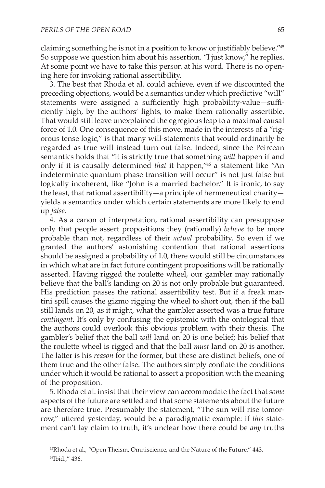claiming something he is not in a position to know or justifiably believe."<sup>45</sup> So suppose we question him about his assertion. "I just know," he replies. At some point we have to take this person at his word. There is no opening here for invoking rational assertibility.

3. The best that Rhoda et al. could achieve, even if we discounted the preceding objections, would be a semantics under which predictive "will" statements were assigned a sufficiently high probability-value—sufficiently high, by the authors' lights, to make them rationally assertible. That would still leave unexplained the egregious leap to a maximal causal force of 1.0. One consequence of this move, made in the interests of a "rigorous tense logic," is that many will-statements that would ordinarily be regarded as true will instead turn out false. Indeed, since the Peircean semantics holds that "it is strictly true that something *will* happen if and only if it is causally determined *that* it happen,"46 a statement like "An indeterminate quantum phase transition will occur" is not just false but logically incoherent, like "John is a married bachelor." It is ironic, to say the least, that rational assertibility—a principle of hermeneutical charity yields a semantics under which certain statements are more likely to end up *false.*

4. As a canon of interpretation, rational assertibility can presuppose only that people assert propositions they (rationally) *believe* to be more probable than not, regardless of their *actual* probability. So even if we granted the authors' astonishing contention that rational assertions should be assigned a probability of 1.0, there would still be circumstances in which what are in fact future contingent propositions will be rationally asserted. Having rigged the roulette wheel, our gambler may rationally believe that the ball's landing on 20 is not only probable but guaranteed. His prediction passes the rational assertibility test. But if a freak martini spill causes the gizmo rigging the wheel to short out, then if the ball still lands on 20, as it might, what the gambler asserted was a true future *contingent*. It's only by confusing the epistemic with the ontological that the authors could overlook this obvious problem with their thesis. The gambler's belief that the ball *will* land on 20 is one belief; his belief that the roulette wheel is rigged and that the ball *must* land on 20 is another. The latter is his *reason* for the former, but these are distinct beliefs, one of them true and the other false. The authors simply conflate the conditions under which it would be rational to assert a proposition with the meaning of the proposition.

5. Rhoda et al. insist that their view can accommodate the fact that *some* aspects of the future are settled and that some statements about the future are therefore true. Presumably the statement, "The sun will rise tomorrow," uttered yesterday, would be a paradigmatic example: if *this* statement can't lay claim to truth, it's unclear how there could be *any* truths

<sup>45</sup>Rhoda et al., "Open Theism, Omniscience, and the Nature of the Future," 443. 46Ibid.," 436.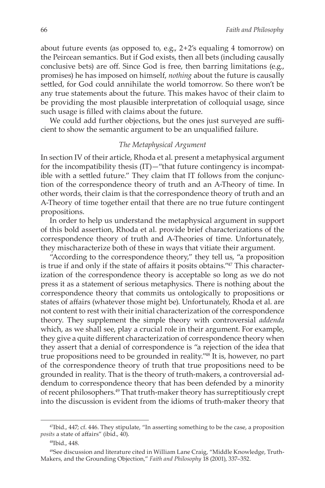about future events (as opposed to, e.g., 2 + 2's equaling 4 tomorrow) on the Peircean semantics. But if God exists, then all bets (including causally conclusive bets) are off. Since God is free, then barring limitations (e.g., promises) he has imposed on himself, *nothing* about the future is causally settled, for God could annihilate the world tomorrow. So there won't be any true statements about the future. This makes havoc of their claim to be providing the most plausible interpretation of colloquial usage, since such usage is filled with claims about the future.

We could add further objections, but the ones just surveyed are sufficient to show the semantic argument to be an unqualified failure.

### *The Metaphysical Argument*

In section IV of their article, Rhoda et al. present a metaphysical argument for the incompatibility thesis (IT)—"that future contingency is incompatible with a settled future." They claim that IT follows from the conjunction of the correspondence theory of truth and an A-Theory of time. In other words, their claim is that the correspondence theory of truth and an A-Theory of time together entail that there are no true future contingent propositions.

In order to help us understand the metaphysical argument in support of this bold assertion, Rhoda et al. provide brief characterizations of the correspondence theory of truth and A-Theories of time. Unfortunately, they mischaracterize both of these in ways that vitiate their argument.

"According to the correspondence theory," they tell us, "a proposition is true if and only if the state of affairs it posits obtains."47 This characterization of the correspondence theory is acceptable so long as we do not press it as a statement of serious metaphysics. There is nothing about the correspondence theory that commits us ontologically to propositions or states of affairs (whatever those might be). Unfortunately, Rhoda et al. are not content to rest with their initial characterization of the correspondence theory. They supplement the simple theory with controversial *addenda*  which, as we shall see, play a crucial role in their argument. For example, they give a quite different characterization of correspondence theory when they assert that a denial of correspondence is "a rejection of the idea that true propositions need to be grounded in reality."48 It is, however, no part of the correspondence theory of truth that true propositions need to be grounded in reality. That is the theory of truth-makers, a controversial addendum to correspondence theory that has been defended by a minority of recent philosophers.49 That truth-maker theory has surreptitiously crept into the discussion is evident from the idioms of truth-maker theory that

<sup>47</sup>Ibid., 447; cf. 446. They stipulate, "In asserting something to be the case, a proposition *posits* a state of affairs" (ibid., 40).

<sup>48</sup>Ibid., 448.

<sup>49</sup>See discussion and literature cited in William Lane Craig, "Middle Knowledge, Truth-Makers, and the Grounding Objection," *Faith and Philosophy* 18 (2001), 337–352.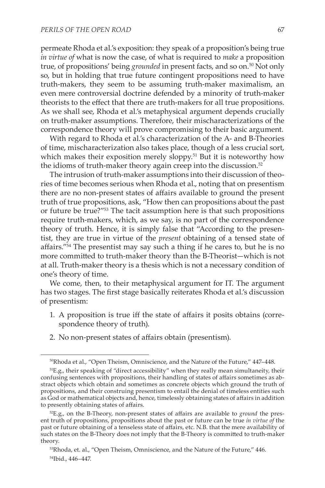permeate Rhoda et al.'s exposition: they speak of a proposition's being true *in virtue of* what is now the case, of what is required to *make* a proposition true, of propositions' being *grounded* in present facts, and so on.<sup>50</sup> Not only so, but in holding that true future contingent propositions need to have truth-makers, they seem to be assuming truth-maker maximalism, an even mere controversial doctrine defended by a minority of truth-maker theorists to the effect that there are truth-makers for all true propositions. As we shall see, Rhoda et al.'s metaphysical argument depends crucially on truth-maker assumptions. Therefore, their mischaracterizations of the correspondence theory will prove compromising to their basic argument.

With regard to Rhoda et al.'s characterization of the A- and B-Theories of time, mischaracterization also takes place, though of a less crucial sort, which makes their exposition merely sloppy.<sup>51</sup> But it is noteworthy how the idioms of truth-maker theory again creep into the discussion.<sup>52</sup>

The intrusion of truth-maker assumptions into their discussion of theories of time becomes serious when Rhoda et al., noting that on presentism there are no non-present states of affairs available to ground the present truth of true propositions, ask, "How then can propositions about the past or future be true?"53 The tacit assumption here is that such propositions require truth-makers, which, as we say, is no part of the correspondence theory of truth. Hence, it is simply false that "According to the presentist, they are true in virtue of the *present* obtaining of a tensed state of affairs."54 The presentist may say such a thing if he cares to, but he is no more committed to truth-maker theory than the B-Theorist—which is not at all. Truth-maker theory is a thesis which is not a necessary condition of one's theory of time.

We come, then, to their metaphysical argument for IT. The argument has two stages. The first stage basically reiterates Rhoda et al.'s discussion of presentism:

- 1. A proposition is true iff the state of affairs it posits obtains (correspondence theory of truth).
- 2. No non-present states of affairs obtain (presentism).

<sup>50</sup>Rhoda et al., "Open Theism, Omniscience, and the Nature of the Future," 447–448.

<sup>51</sup>E.g., their speaking of "direct accessibility" when they really mean simultaneity, their confusing sentences with propositions, their handling of states of affairs sometimes as abstract objects which obtain and sometimes as concrete objects which ground the truth of propositions, and their construing presentism to entail the denial of timeless entities such as God or mathematical objects and, hence, timelessly obtaining states of affairs in addition to presently obtaining states of affairs.

<sup>52</sup>E.g., on the B-Theory, non-present states of affairs are available to *ground* the present truth of propositions, propositions about the past or future can be true *in virtue of* the past or future obtaining of a tenseless state of affairs, etc. N.B. that the mere availability of such states on the B-Theory does not imply that the B-Theory is committed to truth-maker theory.

<sup>53</sup>Rhoda, et. al., "Open Theism, Omniscience, and the Nature of the Future," 446. 54Ibid., 446–447.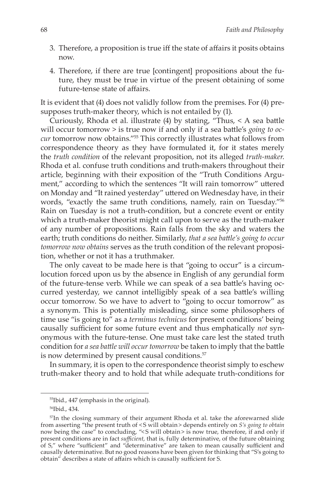- 3. Therefore, a proposition is true iff the state of affairs it posits obtains now.
- 4. Therefore, if there are true [contingent] propositions about the future, they must be true in virtue of the present obtaining of some future-tense state of affairs.

It is evident that (4) does not validly follow from the premises. For (4) presupposes truth-maker theory, which is not entailed by (1).

Curiously, Rhoda et al. illustrate (4) by stating, "Thus, < A sea battle will occur tomorrow > is true now if and only if a sea battle's *going to occur* tomorrow now obtains."55 This correctly illustrates what follows from correspondence theory as they have formulated it, for it states merely the *truth condition* of the relevant proposition, not its alleged *truth-maker*. Rhoda et al. confuse truth conditions and truth-makers throughout their article, beginning with their exposition of the "Truth Conditions Argument," according to which the sentences "It will rain tomorrow" uttered on Monday and "It rained yesterday" uttered on Wednesday have, in their words, "exactly the same truth conditions, namely, rain on Tuesday."56 Rain on Tuesday is not a truth-condition, but a concrete event or entity which a truth-maker theorist might call upon to serve as the truth-maker of any number of propositions. Rain falls from the sky and waters the earth; truth conditions do neither. Similarly, *that a sea battle's going to occur tomorrow now obtains* serves as the truth condition of the relevant proposition, whether or not it has a truthmaker.

The only caveat to be made here is that "going to occur" is a circumlocution forced upon us by the absence in English of any gerundial form of the future-tense verb. While we can speak of a sea battle's having occurred yesterday, we cannot intelligibly speak of a sea battle's willing occur tomorrow. So we have to advert to "going to occur tomorrow" as a synonym. This is potentially misleading, since some philosophers of time use "is going to" as a *terminus technicus* for present conditions' being causally sufficient for some future event and thus emphatically *not* synonymous with the future-tense. One must take care lest the stated truth condition for *a sea battle will occur tomorrow* be taken to imply that the battle is now determined by present causal conditions.<sup>57</sup>

In summary, it is open to the correspondence theorist simply to eschew truth-maker theory and to hold that while adequate truth-conditions for

<sup>55</sup>Ibid., 447 (emphasis in the original).

<sup>56</sup>Ibid., 434.

<sup>57</sup>In the closing summary of their argument Rhoda et al. take the aforewarned slide from asserting "the present truth of <  S will obtain  > depends entirely on *S's going to obtain* now being the case" to concluding, "<S will obtain> is now true, therefore, if and only if present conditions are in fact *sufficient*, that is, fully determinative, of the future obtaining of S," where "sufficient" and "determinative" are taken to mean causally sufficient and causally determinative. But no good reasons have been given for thinking that "S's going to obtain" describes a state of affairs which is causally sufficient for S.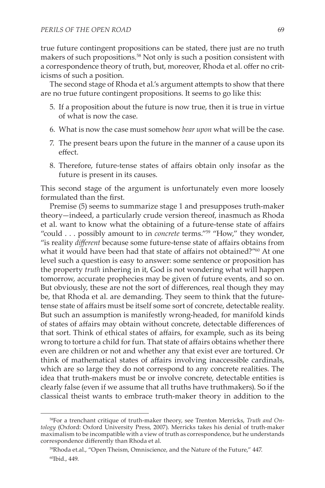true future contingent propositions can be stated, there just are no truth makers of such propositions.58 Not only is such a position consistent with a correspondence theory of truth, but, moreover, Rhoda et al. offer no criticisms of such a position.

The second stage of Rhoda et al.'s argument attempts to show that there are no true future contingent propositions. It seems to go like this:

- 5. If a proposition about the future is now true, then it is true in virtue of what is now the case.
- 6. What is now the case must somehow *bear upon* what will be the case.
- 7. The present bears upon the future in the manner of a cause upon its effect.
- 8. Therefore, future-tense states of affairs obtain only insofar as the future is present in its causes.

This second stage of the argument is unfortunately even more loosely formulated than the first.

Premise (5) seems to summarize stage 1 and presupposes truth-maker theory—indeed, a particularly crude version thereof, inasmuch as Rhoda et al. want to know what the obtaining of a future-tense state of affairs "could . . . possibly amount to in *concrete* terms."59 "How," they wonder, "is reality *different* because some future-tense state of affairs obtains from what it would have been had that state of affairs not obtained?"<sup>60</sup> At one level such a question is easy to answer: some sentence or proposition has the property *truth* inhering in it, God is not wondering what will happen tomorrow, accurate prophecies may be given of future events, and so on. But obviously, these are not the sort of differences, real though they may be, that Rhoda et al. are demanding. They seem to think that the futuretense state of affairs must be itself some sort of concrete, detectable reality. But such an assumption is manifestly wrong-headed, for manifold kinds of states of affairs may obtain without concrete, detectable differences of that sort. Think of ethical states of affairs, for example, such as its being wrong to torture a child for fun. That state of affairs obtains whether there even are children or not and whether any that exist ever are tortured. Or think of mathematical states of affairs involving inaccessible cardinals, which are so large they do not correspond to any concrete realities. The idea that truth-makers must be or involve concrete, detectable entities is clearly false (even if we assume that all truths have truthmakers). So if the classical theist wants to embrace truth-maker theory in addition to the

<sup>58</sup>For a trenchant critique of truth-maker theory, see Trenton Merricks, *Truth and Ontology* (Oxford: Oxford University Press, 2007). Merricks takes his denial of truth-maker maximalism to be incompatible with a view of truth as correspondence, but he understands correspondence differently than Rhoda et al.

<sup>59</sup>Rhoda et.al., "Open Theism, Omniscience, and the Nature of the Future," 447. 60Ibid., 449.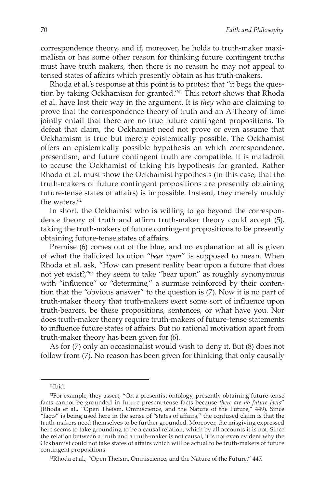correspondence theory, and if, moreover, he holds to truth-maker maximalism or has some other reason for thinking future contingent truths must have truth makers, then there is no reason he may not appeal to tensed states of affairs which presently obtain as his truth-makers.

Rhoda et al.'s response at this point is to protest that "it begs the question by taking Ockhamism for granted."61 This retort shows that Rhoda et al. have lost their way in the argument. It is *they* who are claiming to prove that the correspondence theory of truth and an A-Theory of time jointly entail that there are no true future contingent propositions. To defeat that claim, the Ockhamist need not prove or even assume that Ockhamism is true but merely epistemically possible. The Ockhamist offers an epistemically possible hypothesis on which correspondence, presentism, and future contingent truth are compatible. It is maladroit to accuse the Ockhamist of taking his hypothesis for granted. Rather Rhoda et al. must show the Ockhamist hypothesis (in this case, that the truth-makers of future contingent propositions are presently obtaining future-tense states of affairs) is impossible. Instead, they merely muddy the waters.<sup>62</sup>

In short, the Ockhamist who is willing to go beyond the correspondence theory of truth and affirm truth-maker theory could accept (5), taking the truth-makers of future contingent propositions to be presently obtaining future-tense states of affairs.

Premise (6) comes out of the blue, and no explanation at all is given of what the italicized locution "*bear upon*" is supposed to mean. When Rhoda et al. ask, "How can present reality bear upon a future that does not yet exist?,"63 they seem to take "bear upon" as roughly synonymous with "influence" or "determine," a surmise reinforced by their contention that the "obvious answer" to the question is (7). Now it is no part of truth-maker theory that truth-makers exert some sort of influence upon truth-bearers, be these propositions, sentences, or what have you. Nor does truth-maker theory require truth-makers of future-tense statements to influence future states of affairs. But no rational motivation apart from truth-maker theory has been given for (6).

As for (7) only an occasionalist would wish to deny it. But (8) does not follow from (7). No reason has been given for thinking that only causally

<sup>61</sup>Ibid.

<sup>&</sup>lt;sup>62</sup>For example, they assert, "On a presentist ontology, presently obtaining future-tense facts cannot be grounded in future present-tense facts because *there are no future facts*" (Rhoda et al., "Open Theism, Omniscience, and the Nature of the Future," 449). Since "facts" is being used here in the sense of "states of affairs," the confused claim is that the truth-makers need themselves to be further grounded. Moreover, the misgiving expressed here seems to take grounding to be a causal relation, which by all accounts it is not. Since the relation between a truth and a truth-maker is not causal, it is not even evident why the Ockhamist could not take states of affairs which will be actual to be truth-makers of future contingent propositions.

<sup>63</sup>Rhoda et al., "Open Theism, Omniscience, and the Nature of the Future," 447.